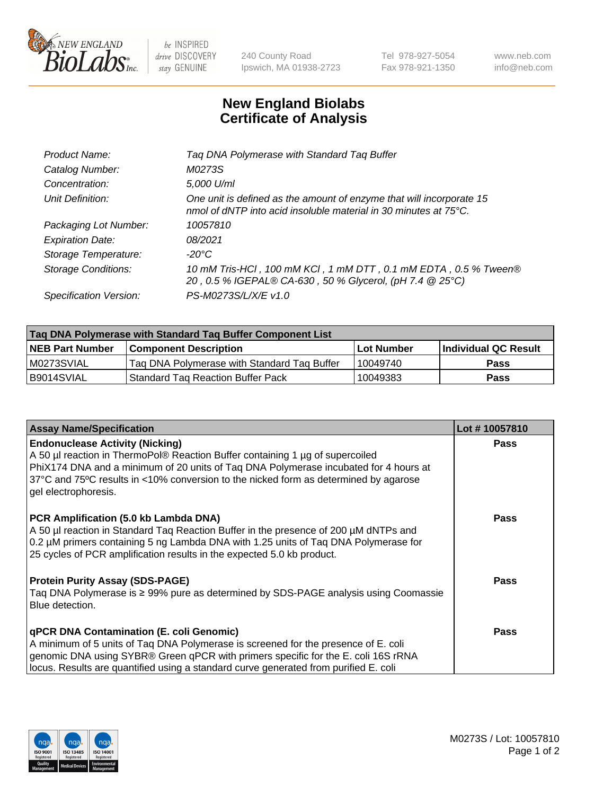

be INSPIRED drive DISCOVERY stay GENUINE

240 County Road Ipswich, MA 01938-2723 Tel 978-927-5054 Fax 978-921-1350 www.neb.com info@neb.com

## **New England Biolabs Certificate of Analysis**

| Product Name:           | Tag DNA Polymerase with Standard Tag Buffer                                                                                                        |
|-------------------------|----------------------------------------------------------------------------------------------------------------------------------------------------|
| Catalog Number:         | M0273S                                                                                                                                             |
| Concentration:          | 5,000 U/ml                                                                                                                                         |
| Unit Definition:        | One unit is defined as the amount of enzyme that will incorporate 15<br>nmol of dNTP into acid insoluble material in 30 minutes at $75^{\circ}$ C. |
| Packaging Lot Number:   | 10057810                                                                                                                                           |
| <b>Expiration Date:</b> | 08/2021                                                                                                                                            |
| Storage Temperature:    | $-20^{\circ}$ C                                                                                                                                    |
| Storage Conditions:     | 10 mM Tris-HCl, 100 mM KCl, 1 mM DTT, 0.1 mM EDTA, 0.5 % Tween®<br>20, 0.5 % IGEPAL® CA-630, 50 % Glycerol, (pH 7.4 @ 25°C)                        |
| Specification Version:  | PS-M0273S/L/X/E v1.0                                                                                                                               |

| Tag DNA Polymerase with Standard Tag Buffer Component List |                                             |                   |                      |  |
|------------------------------------------------------------|---------------------------------------------|-------------------|----------------------|--|
| <b>NEB Part Number</b>                                     | Component Description_                      | <b>Lot Number</b> | Individual QC Result |  |
| M0273SVIAL                                                 | Tag DNA Polymerase with Standard Tag Buffer | 10049740          | <b>Pass</b>          |  |
| B9014SVIAL                                                 | Standard Tag Reaction Buffer Pack           | 10049383          | Pass                 |  |

| <b>Assay Name/Specification</b>                                                                                                                                                                                                                                                                                                 | Lot #10057810 |
|---------------------------------------------------------------------------------------------------------------------------------------------------------------------------------------------------------------------------------------------------------------------------------------------------------------------------------|---------------|
| <b>Endonuclease Activity (Nicking)</b><br>A 50 µl reaction in ThermoPol® Reaction Buffer containing 1 µg of supercoiled<br>PhiX174 DNA and a minimum of 20 units of Tag DNA Polymerase incubated for 4 hours at<br>37°C and 75°C results in <10% conversion to the nicked form as determined by agarose<br>gel electrophoresis. | <b>Pass</b>   |
| PCR Amplification (5.0 kb Lambda DNA)<br>A 50 µl reaction in Standard Taq Reaction Buffer in the presence of 200 µM dNTPs and<br>0.2 µM primers containing 5 ng Lambda DNA with 1.25 units of Tag DNA Polymerase for<br>25 cycles of PCR amplification results in the expected 5.0 kb product.                                  | <b>Pass</b>   |
| <b>Protein Purity Assay (SDS-PAGE)</b><br>Taq DNA Polymerase is ≥ 99% pure as determined by SDS-PAGE analysis using Coomassie<br>Blue detection.                                                                                                                                                                                | Pass          |
| qPCR DNA Contamination (E. coli Genomic)<br>A minimum of 5 units of Taq DNA Polymerase is screened for the presence of E. coli<br>genomic DNA using SYBR® Green qPCR with primers specific for the E. coli 16S rRNA<br>locus. Results are quantified using a standard curve generated from purified E. coli                     | <b>Pass</b>   |